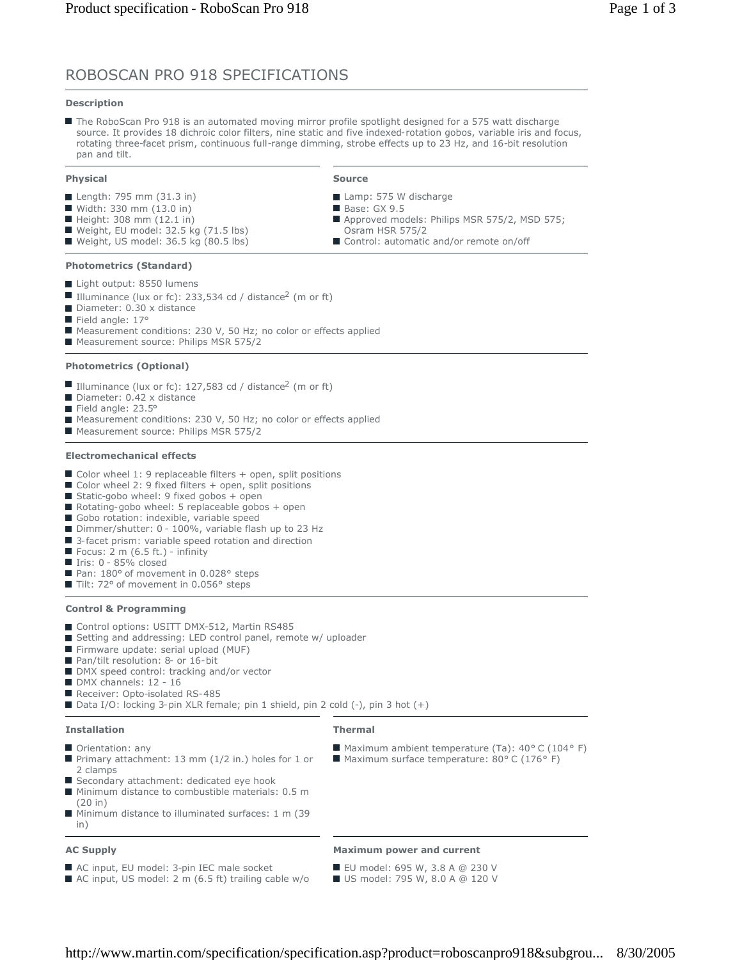# ROBOSCAN PRO 918 SPECIFICATIONS

# **Description**

The RoboScan Pro 918 is an automated moving mirror profile spotlight designed for a 575 watt discharge source. It provides 18 dichroic color filters, nine static and five indexed-rotation gobos, variable iris and focus, rotating three-facet prism, continuous full-range dimming, strobe effects up to 23 Hz, and 16-bit resolution pan and tilt.

# **Physical**

- Length: 795 mm (31.3 in)
- $\blacksquare$  Width: 330 mm (13.0 in)
- $\blacksquare$  Height: 308 mm (12.1 in)
- Weight, EU model:  $32.5$  kg (71.5 lbs)
- Weight, US model: 36.5 kg (80.5 lbs)

## **Photometrics (Standard)**

- Light output: 8550 lumens
- Illuminance (lux or fc): 233,534 cd / distance<sup>2</sup> (m or ft)
- Diameter: 0.30 x distance
- Field angle: 17°
- Measurement conditions: 230 V, 50 Hz; no color or effects applied
- Measurement source: Philips MSR 575/2

# **Photometrics (Optional)**

- Illuminance (lux or fc): 127,583 cd / distance<sup>2</sup> (m or ft)
- Diameter: 0.42 x distance
- Field angle: 23.5°
- Measurement conditions: 230 V, 50 Hz; no color or effects applied
- Measurement source: Philips MSR 575/2

### **Electromechanical effects**

- Color wheel 1: 9 replaceable filters + open, split positions
- $\blacksquare$  Color wheel 2: 9 fixed filters + open, split positions
- Static-gobo wheel: 9 fixed gobos  $+$  open
- Rotating-gobo wheel: 5 replaceable gobos + open
- Gobo rotation: indexible, variable speed
- Dimmer/shutter: 0 100%, variable flash up to 23 Hz
- 3-facet prism: variable speed rotation and direction
- $\blacksquare$  Focus: 2 m (6.5 ft.) infinity
- Iris: 0 85% closed
- Pan: 180° of movement in 0.028° steps
- Tilt: 72° of movement in 0.056° steps

# **Control & Programming**

- Control options: USITT DMX-512, Martin RS485
- Setting and addressing: LED control panel, remote w/ uploader
- Firmware update: serial upload (MUF)
- Pan/tilt resolution: 8- or 16-bit
- DMX speed control: tracking and/or vector
- DMX channels: 12 16
- Receiver: Opto-isolated RS-485
- Data I/O: locking 3-pin XLR female; pin 1 shield, pin 2 cold (-), pin 3 hot (+)

#### **Installation**

**Thermal**

- **Orientation: any**
- Primary attachment: 13 mm (1/2 in.) holes for 1 or 2 clamps
- Secondary attachment: dedicated eye hook
- **Minimum distance to combustible materials: 0.5 m** (20 in)
- Minimum distance to illuminated surfaces: 1 m (39 in)

■ AC input, US model: 2 m (6.5 ft) trailing cable w/o

# **AC Supply**

- AC input, EU model: 3-pin IEC male socket
- **Maximum power and current**
- EU model: 695 W, 3.8 A @ 230 V US model: 795 W, 8.0 A @ 120 V

■ Maximum ambient temperature (Ta): 40° C (104° F) ■ Maximum surface temperature: 80° C (176° F)

http://www.martin.com/specification/specification.asp?product=roboscanpro918&subgrou... 8/30/2005

- **Source**
- Lamp: 575 W discharge
- Base: GX 9.5
- Approved models: Philips MSR 575/2, MSD 575; Osram HSR 575/2
- Control: automatic and/or remote on/off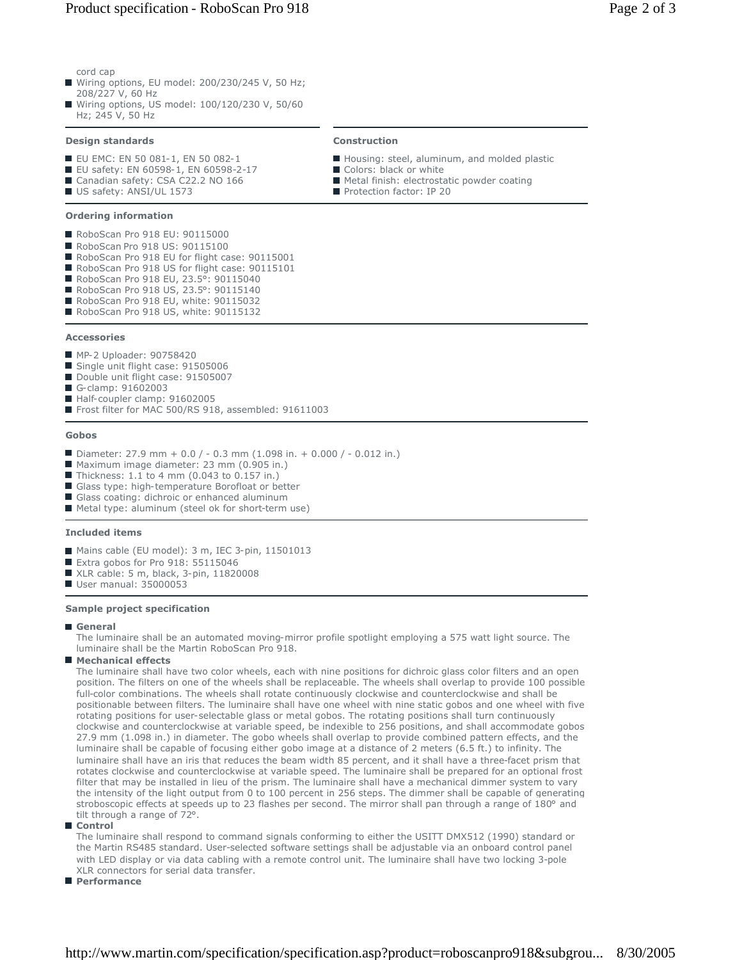# Product specification - RoboScan Pro 918 Page 2 of 3

cord cap

- Wiring options, EU model: 200/230/245 V, 50 Hz; 208/227 V, 60 Hz
- Wiring options, US model: 100/120/230 V, 50/60 Hz; 245 V, 50 Hz

# **Design standards**

- EU EMC: EN 50 081-1, EN 50 082-1
- EU safety: EN 60598-1, EN 60598-2-17
- Canadian safety: CSA C22.2 NO 166
- US safety: ANSI/UL 1573

# **Ordering information**

- RoboScan Pro 918 EU: 90115000
- RoboScan Pro 918 US: 90115100
- RoboScan Pro 918 EU for flight case: 90115001
- RoboScan Pro 918 US for flight case: 90115101
- RoboScan Pro 918 EU, 23.5°: 90115040
- RoboScan Pro 918 US, 23.5°: 90115140
- RoboScan Pro 918 EU, white: 90115032 RoboScan Pro 918 US, white: 90115132

# **Accessories**

- **MP-2 Uploader: 90758420**
- Single unit flight case: 91505006
- Double unit flight case: 91505007
- G-clamp: 91602003
- Half-coupler clamp: 91602005
- Frost filter for MAC 500/RS 918, assembled: 91611003

#### **Gobos**

- Diameter: 27.9 mm + 0.0 / 0.3 mm (1.098 in. + 0.000 / 0.012 in.)
- Maximum image diameter: 23 mm (0.905 in.)
- Thickness: 1.1 to 4 mm (0.043 to 0.157 in.)
- Glass type: high-temperature Borofloat or better
- Glass coating: dichroic or enhanced aluminum Metal type: aluminum (steel ok for short-term use)

# **Included items**

- Mains cable (EU model): 3 m, IEC 3-pin, 11501013
- Extra gobos for Pro 918: 55115046
- XLR cable: 5 m, black, 3-pin, 11820008
- User manual: 35000053

## **Sample project specification**

# **General**

The luminaire shall be an automated moving-mirror profile spotlight employing a 575 watt light source. The luminaire shall be the Martin RoboScan Pro 918.

# **Mechanical effects**

The luminaire shall have two color wheels, each with nine positions for dichroic glass color filters and an open position. The filters on one of the wheels shall be replaceable. The wheels shall overlap to provide 100 possible full-color combinations. The wheels shall rotate continuously clockwise and counterclockwise and shall be positionable between filters. The luminaire shall have one wheel with nine static gobos and one wheel with five rotating positions for user-selectable glass or metal gobos. The rotating positions shall turn continuously clockwise and counterclockwise at variable speed, be indexible to 256 positions, and shall accommodate gobos 27.9 mm (1.098 in.) in diameter. The gobo wheels shall overlap to provide combined pattern effects, and the luminaire shall be capable of focusing either gobo image at a distance of 2 meters (6.5 ft.) to infinity. The luminaire shall have an iris that reduces the beam width 85 percent, and it shall have a three-facet prism that rotates clockwise and counterclockwise at variable speed. The luminaire shall be prepared for an optional frost filter that may be installed in lieu of the prism. The luminaire shall have a mechanical dimmer system to vary the intensity of the light output from 0 to 100 percent in 256 steps. The dimmer shall be capable of generating stroboscopic effects at speeds up to 23 flashes per second. The mirror shall pan through a range of 180° and tilt through a range of 72°.

# **Control**

The luminaire shall respond to command signals conforming to either the USITT DMX512 (1990) standard or the Martin RS485 standard. User-selected software settings shall be adjustable via an onboard control panel with LED display or via data cabling with a remote control unit. The luminaire shall have two locking 3-pole XLR connectors for serial data transfer.

# **Performance**

# **Construction**

- Housing: steel, aluminum, and molded plastic
- Colors: black or white
- Metal finish: electrostatic powder coating
- Protection factor: IP 20